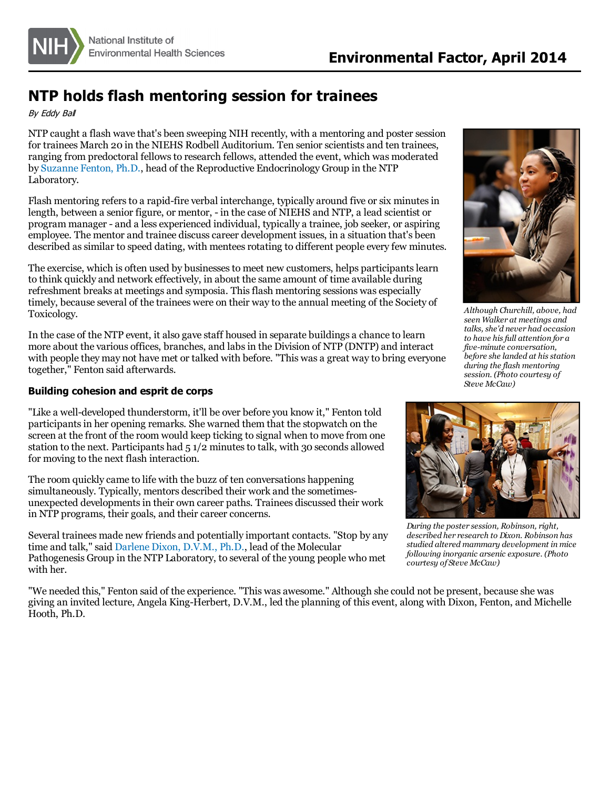

# **NTP holds flash mentoring session for trainees**

By Eddy Bal

NTP caught a flash wave that's been sweeping NIH recently, with a mentoring and poster session for trainees March 20 in the NIEHS Rodbell Auditorium. Ten senior scientists and ten trainees, ranging from predoctoral fellowsto research fellows, attended the event, which was moderated by [Suzanne](http://www.niehs.nih.gov/research/atniehs/labs/ntp/repro_endoc/index.cfm) Fenton, Ph.D., head of the Reproductive Endocrinology Group in the NTP Laboratory.

Flash mentoring refers to a rapid-fire verbal interchange, typically around five or six minutes in length, between a senior figure, or mentor, - in the case of NIEHS and NTP, a lead scientist or program manager - and a less experienced individual, typically a trainee, job seeker, or aspiring employee. The mentor and trainee discuss career development issues, in a situation that's been described as similar to speed dating, with mentees rotating to different people every few minutes.

The exercise, which is often used by businessesto meet new customers, helps participantslearn to think quickly and network effectively, in about the same amount of time available during refreshment breaks at meetings and symposia. This flash mentoring sessions was especially timely, because several of the trainees were on their way to the annual meeting of the Society of Toxicology.

In the case of the NTP event, it also gave staff housed in separate buildings a chance to learn more about the various offices, branches, and labsin the Division of NTP (DNTP) and interact with people they may not have met or talked with before. "This was a great way to bring everyone together," Fenton said afterwards.

## **Building cohesion and esprit de corps**

"Like a well-developed thunderstorm, it'll be over before you know it," Fenton told participantsin her opening remarks. She warned them that the stopwatch on the screen at the front of the room would keep ticking to signal when to move from one station to the next. Participants had  $51/2$  minutes to talk, with 30 seconds allowed for moving to the next flash interaction.

The room quickly came to life with the buzz of ten conversations happening simultaneously. Typically, mentors described their work and the sometimesunexpected developmentsin their own career paths. Trainees discussed their work in NTP programs, their goals, and their career concerns.

Several trainees made new friends and potentially important contacts. "Stop by any time and talk," said [Darlene](http://www.niehs.nih.gov/research/atniehs/labs/ntp/comp_path/index.cfm) Dixon, D.V.M., Ph.D., lead of the Molecular Pathogenesis Group in the NTP Laboratory, to several of the young people who met with her.

"We needed this," Fenton said of the experience. "This was awesome." Although she could not be present, because she was giving an invited lecture, Angela King-Herbert, D.V.M., led the planning of this event, along with Dixon, Fenton, and Michelle Hooth, Ph.D.



*Although Churchill, above, had seen Walker at meetings and talks, she'd never had occasion to have hisfull attention for a five-minute conversation, before she landed at hisstation during the flash mentoring session. (Photo courtesy of Steve McCaw)*



*During the poster session, Robinson, right, described her research to Dixon. Robinson has studied altered mammary development in mice following inorganic arsenic exposure. (Photo courtesy of Steve McCaw)*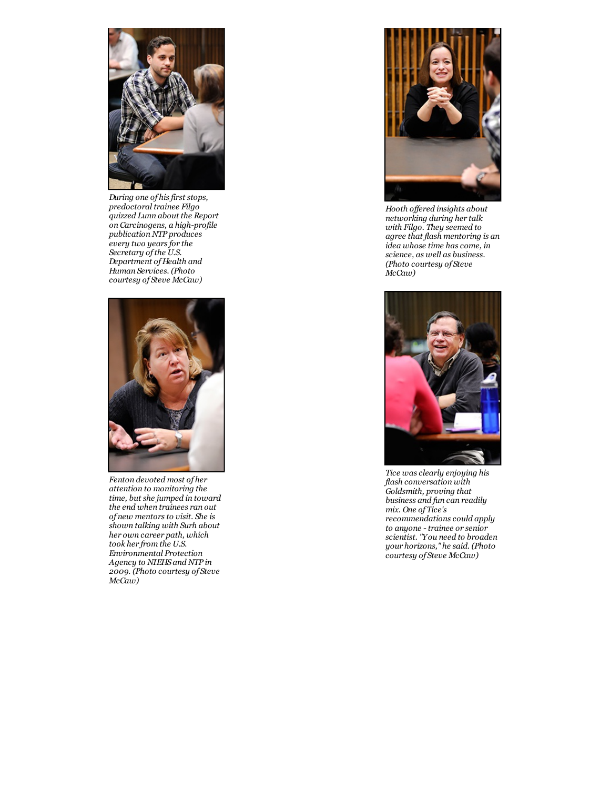

*During one of hisfirst stops, predoctoral trainee Filgo quizzed Lunn about the Report on Carcinogens, a high-profile publication NTP produces every two yearsfor the Secretary ofthe U.S. Department of Health and Human Services. (Photo courtesy of Steve McCaw)*



*Fenton devoted most of her attention to monitoring the time, but she jumped in toward the end when trainees ran out of new mentorsto visit. She is shown talking with Surh about her own career path, which took her from the U.S. Environmental Protection Agency to NIEHS and NTP in 2009. (Photo courtesy of Steve McCaw)*



*Hooth of ered insights about networking during her talk with Filgo. They seemed to agree that flash mentoring is an idea whose time hascome, in science, as well as business. (Photo courtesy of Steve McCaw)*



*Tice wasclearly enjoying his flash conversation with Goldsmith, proving that business and fun can readily mix. One of Tice's recommendationscould apply to anyone - trainee or senior scientist. "You need to broaden your horizons," he said. (Photo courtesy of Steve McCaw)*